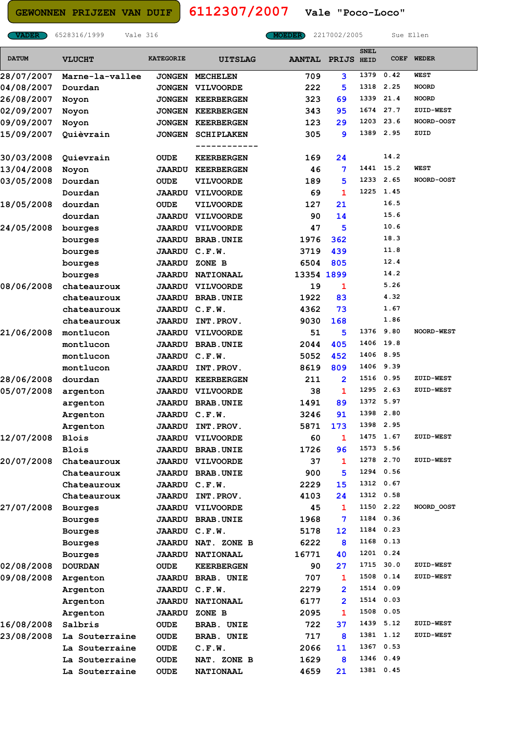**GEWONNEN PRIJZEN VAN DUIF 6112307/2007**

**VADER** 6528316/1999 Vale 316 **MOEDER** 2217002/2005 Sue Ellen

**Vale "Poco-Loco"**

| <b>DATUM</b> | <b>VLUCHT</b>   | <b>KATEGORIE</b> | <b>UITSLAG</b>            | <b>AANTAL</b> | <b>PRIJS</b>    | <b>SNEL</b><br><b>HEID</b> | <b>COEF</b> | <b>WEDER</b>      |
|--------------|-----------------|------------------|---------------------------|---------------|-----------------|----------------------------|-------------|-------------------|
| 28/07/2007   | Marne-la-vallee |                  | JONGEN MECHELEN           | 709           | 3               | 1379                       | 0.42        | <b>WEST</b>       |
| 04/08/2007   | Dourdan         | <b>JONGEN</b>    | <b>VILVOORDE</b>          | 222           | 5               | 1318                       | 2.25        | <b>NOORD</b>      |
| 26/08/2007   | Noyon           | <b>JONGEN</b>    | <b>KEERBERGEN</b>         | 323           | 69              | 1339                       | 21.4        | <b>NOORD</b>      |
| 02/09/2007   | Noyon           | <b>JONGEN</b>    | <b>KEERBERGEN</b>         | 343           | 95              | 1674                       | 27.7        | ZUID-WEST         |
| 09/09/2007   | Noyon           | <b>JONGEN</b>    | <b>KEERBERGEN</b>         | 123           | 29              | 1203                       | 23.6        | <b>NOORD-OOST</b> |
| 15/09/2007   | Quièvrain       | <b>JONGEN</b>    | <b>SCHIPLAKEN</b>         | 305           | 9               | 1389                       | 2.95        | ZUID              |
|              |                 |                  |                           |               |                 |                            |             |                   |
| 30/03/2008   | Quievrain       | OUDE             | <b>KEERBERGEN</b>         | 169           | 24              |                            | 14.2        |                   |
| 13/04/2008   | Noyon           |                  | <b>JAARDU KEERBERGEN</b>  | 46            | 7               | 1441                       | 15.2        | <b>WEST</b>       |
| 03/05/2008   | Dourdan         | <b>OUDE</b>      | <b>VILVOORDE</b>          | 189           | 5               | 1233                       | 2.65        | <b>NOORD-OOST</b> |
|              | Dourdan         |                  | <b>JAARDU VILVOORDE</b>   | 69            | 1               | 1225                       | 1.45        |                   |
| 18/05/2008   | dourdan         | <b>OUDE</b>      | <b>VILVOORDE</b>          | 127           | 21              |                            | 16.5        |                   |
|              | dourdan         | <b>JAARDU</b>    | <b>VILVOORDE</b>          | 90            | 14              |                            | 15.6        |                   |
| 24/05/2008   | bourges         | <b>JAARDU</b>    | <b>VILVOORDE</b>          | 47            | 5               |                            | 10.6        |                   |
|              | bourges         | <b>JAARDU</b>    | <b>BRAB.UNIE</b>          | 1976          | 362             |                            | 18.3        |                   |
|              | bourges         | <b>JAARDU</b>    | C.F.W.                    | 3719          | 439             |                            | 11.8        |                   |
|              | bourges         | <b>JAARDU</b>    | ZONE B                    | 6504          | 805             |                            | 12.4        |                   |
|              | bourges         |                  | <b>JAARDU NATIONAAL</b>   | 13354 1899    |                 |                            | 14.2        |                   |
| 08/06/2008   | chateauroux     | <b>JAARDU</b>    | <b>VILVOORDE</b>          | 19            | 1               |                            | 5.26        |                   |
|              | chateauroux     |                  | <b>JAARDU BRAB.UNIE</b>   | 1922          | 83              |                            | 4.32        |                   |
|              | chateauroux     | <b>JAARDU</b>    | C.F.W.                    | 4362          | 73              |                            | 1.67        |                   |
|              | chateauroux     | <b>JAARDU</b>    | INT.PROV.                 | 9030          | 168             |                            | 1.86        |                   |
| 21/06/2008   | montlucon       | <b>JAARDU</b>    | <b>VILVOORDE</b>          | 51            | 5               | 1376 9.80                  |             | <b>NOORD-WEST</b> |
|              | montlucon       |                  | <b>JAARDU BRAB.UNIE</b>   | 2044          | 405             | 1406                       | 19.8        |                   |
|              | montlucon       | <b>JAARDU</b>    | C.F.W.                    | 5052          | 452             |                            | 1406 8.95   |                   |
|              | montlucon       | <b>JAARDU</b>    | INT.PROV.                 | 8619          | 809             |                            | 1406 9.39   |                   |
| 28/06/2008   | dourdan         | <b>JAARDU</b>    | <b>KEERBERGEN</b>         | 211           | $\overline{2}$  | 1516                       | 0.95        | ZUID-WEST         |
| 05/07/2008   | argenton        |                  | <b>JAARDU VILVOORDE</b>   | 38            | 1               | 1295                       | 2.63        | ZUID-WEST         |
|              | argenton        |                  | <b>JAARDU BRAB.UNIE</b>   | 1491          | 89              | 1372 5.97                  |             |                   |
|              | Argenton        | <b>JAARDU</b>    | C.F.W.                    | 3246          | 91              |                            | 1398 2.80   |                   |
|              | Argenton        | <b>JAARDU</b>    | INT. PROV.                | 5871          | 173             |                            | 1398 2.95   |                   |
| 12/07/2008   | Blois           |                  | <b>JAARDU VILVOORDE</b>   | 60            | ı               | 1475                       | 1.67        | <b>ZUID-WEST</b>  |
|              | Blois           |                  | <b>JAARDU BRAB.UNIE</b>   | 1726          | 96              |                            | 1573 5.56   |                   |
| 20/07/2008   | Chateauroux     |                  | <b>JAARDU VILVOORDE</b>   | 37            | 1               |                            | 1278 2.70   | ZUID-WEST         |
|              | Chateauroux     |                  | <b>JAARDU BRAB.UNIE</b>   | 900           | 5               |                            | 1294 0.56   |                   |
|              | Chateauroux     | JAARDU C.F.W.    |                           | 2229          | 15              |                            | 1312 0.67   |                   |
|              | Chateauroux     | <b>JAARDU</b>    | INT.PROV.                 | 4103          | 24              |                            | 1312 0.58   |                   |
| 27/07/2008   | <b>Bourges</b>  |                  | <b>JAARDU VILVOORDE</b>   | 45            | 1               |                            | 1150 2.22   | NOORD OOST        |
|              | Bourges         |                  | <b>JAARDU BRAB.UNIE</b>   | 1968          | 7               |                            | 1184 0.36   |                   |
|              | <b>Bourges</b>  | JAARDU C.F.W.    |                           | 5178          | 12 <sub>2</sub> |                            | 1184 0.23   |                   |
|              | <b>Bourges</b>  |                  | <b>JAARDU NAT. ZONE B</b> | 6222          | 8               |                            | 1168 0.13   |                   |
|              | Bourges         |                  | <b>JAARDU NATIONAAL</b>   | 16771         | 40              |                            | 1201 0.24   |                   |
| 02/08/2008   | <b>DOURDAN</b>  | OUDE             | <b>KEERBERGEN</b>         | 90            | 27              |                            | 1715 30.0   | ZUID-WEST         |
| 09/08/2008   | Argenton        |                  | <b>JAARDU BRAB. UNIE</b>  | 707           | 1               |                            | 1508 0.14   | <b>ZUID-WEST</b>  |
|              | Argenton        | JAARDU C.F.W.    |                           | 2279          | $\mathbf{2}$    |                            | 1514 0.09   |                   |
|              | Argenton        |                  | <b>JAARDU NATIONAAL</b>   | 6177          | $\mathbf{2}$    |                            | 1514 0.03   |                   |
|              | Argenton        |                  | <b>JAARDU ZONE B</b>      | 2095          | 1               |                            | 1508 0.05   |                   |
| 16/08/2008   | Salbris         | <b>OUDE</b>      | <b>BRAB. UNIE</b>         | 722.          | 37              |                            | 1439 5.12   | <b>ZUID-WEST</b>  |
| 23/08/2008   | La Souterraine  | <b>OUDE</b>      | <b>BRAB. UNIE</b>         | 717           | 8               |                            | 1381 1.12   | ZUID-WEST         |
|              | La Souterraine  | <b>OUDE</b>      | C.F.W.                    | 2066          | 11              |                            | 1367 0.53   |                   |
|              | La Souterraine  | <b>OUDE</b>      | NAT. ZONE B               | 1629          | 8               |                            | 1346 0.49   |                   |
|              | La Souterraine  | <b>OUDE</b>      | <b>NATIONAAL</b>          | 4659          | 21              |                            | 1381 0.45   |                   |